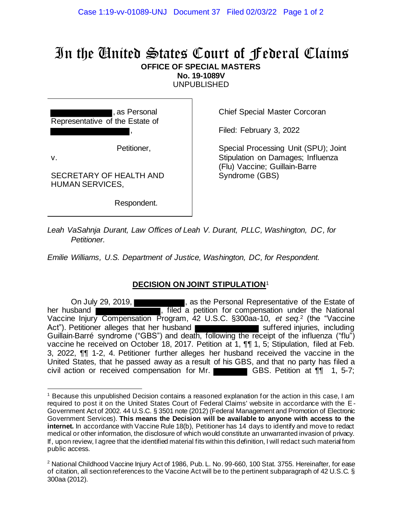## In the United States Court of Federal Claims **OFFICE OF SPECIAL MASTERS**

**No. 19-1089V**

UNPUBLISHED

, as Personal Representative of the Estate of ,

Petitioner,

v.

SECRETARY OF HEALTH AND HUMAN SERVICES,

Respondent.

Chief Special Master Corcoran

Filed: February 3, 2022

Special Processing Unit (SPU); Joint Stipulation on Damages; Influenza (Flu) Vaccine; Guillain-Barre Syndrome (GBS)

*Leah VaSahnja Durant, Law Offices of Leah V. Durant, PLLC, Washington, DC, for Petitioner.*

*Emilie Williams, U.S. Department of Justice, Washington, DC, for Respondent.*

## **DECISION ON JOINT STIPULATION**<sup>1</sup>

On July 29, 2019, **Exercise 2018**, as the Personal Representative of the Estate of her husband **we have a straight a straight a**. filed a petition for compensation under the National Vaccine Injury Compensation Program, 42 U.S.C. §300aa-10, *et seq.* <sup>2</sup> (the "Vaccine Act"). Petitioner alleges that her husband Guillain-Barré syndrome ("GBS") and death, following the receipt of the influenza ("flu") vaccine he received on October 18, 2017. Petition at 1, ¶¶ 1, 5; Stipulation, filed at Feb. 3, 2022, ¶¶ 1-2, 4. Petitioner further alleges her husband received the vaccine in the United States, that he passed away as a result of his GBS, and that no party has filed a civil action or received compensation for Mr. GBS. Petition at  $\P\P$  1, 5-7;

<sup>1</sup> Because this unpublished Decision contains a reasoned explanation for the action in this case, I am required to post it on the United States Court of Federal Claims' website in accordance with the E-Government Act of 2002. 44 U.S.C. § 3501 note (2012) (Federal Management and Promotion of Electronic Government Services). **This means the Decision will be available to anyone with access to the**  internet. In accordance with Vaccine Rule 18(b), Petitioner has 14 days to identify and move to redact medical or other information, the disclosure of which would constitute an unwarranted invasion of privacy. If, upon review, I agree that the identified material fits within this definition, I will redact such material from public access.

<sup>&</sup>lt;sup>2</sup> National Childhood Vaccine Injury Act of 1986, Pub. L. No. 99-660, 100 Stat. 3755. Hereinafter, for ease of citation, all section references to the Vaccine Act will be to the pertinent subparagraph of 42 U.S.C. § 300aa (2012).